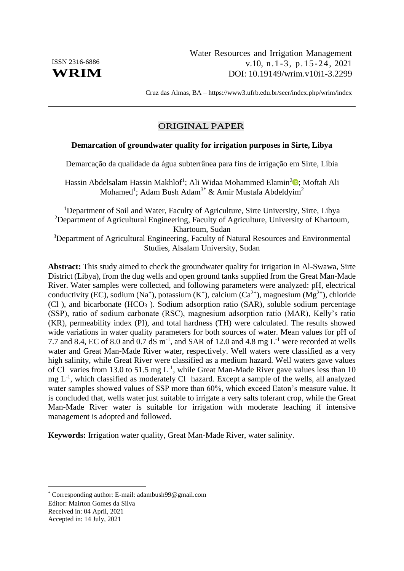Cruz das Almas, BA – <https://www3.ufrb.edu.br/seer/index.php/wrim/index>

# ORIGINAL PAPER

# **Demarcation of groundwater quality for irrigation purposes in Sirte, Libya**

Demarcação da qualidade da água subterrânea para fins de irrigação em Sirte, Líbia

Hassin Abdelsalam Hassin Makhlof<sup>1</sup>; Ali Widaa Mohammed Elamin<sup>[2](https://orcid.org/0000-0002-5984-2523)</sup><sup>®</sup>; Moftah Ali Mohamed<sup>1</sup>; Adam Bush Adam<sup>3\*</sup> & Amir Mustafa Abdeldyim<sup>2</sup>

<sup>1</sup>Department of Soil and Water, Faculty of Agriculture, Sirte University, Sirte, Libya <sup>2</sup>Department of Agricultural Engineering, Faculty of Agriculture, University of Khartoum, Khartoum, Sudan <sup>3</sup>Department of Agricultural Engineering, Faculty of Natural Resources and Environmental Studies, Alsalam University, Sudan

**Abstract:** This study aimed to check the groundwater quality for irrigation in Al-Swawa, Sirte District (Libya), from the dug wells and open ground tanks supplied from the Great Man-Made River. Water samples were collected, and following parameters were analyzed: pH, electrical conductivity (EC), sodium (Na<sup>+</sup>), potassium (K<sup>+</sup>), calcium (Ca<sup>2+</sup>), magnesium (Mg<sup>2+</sup>), chloride (Cl<sup>-</sup>), and bicarbonate (HCO<sub>3</sub><sup>-</sup>). Sodium adsorption ratio (SAR), soluble sodium percentage (SSP), ratio of sodium carbonate (RSC), magnesium adsorption ratio (MAR), Kelly's ratio (KR), permeability index (PI), and total hardness (TH) were calculated. The results showed wide variations in water quality parameters for both sources of water. Mean values for pH of 7.7 and 8.4, EC of 8.0 and 0.7 dS  $\text{m}$ <sup>-1</sup>, and SAR of 12.0 and 4.8 mg L<sup>-1</sup> were recorded at wells water and Great Man-Made River water, respectively. Well waters were classified as a very high salinity, while Great River were classified as a medium hazard. Well waters gave values of Cl<sup>-</sup> varies from 13.0 to 51.5 mg  $L^{-1}$ , while Great Man-Made River gave values less than 10  $mg L<sup>-1</sup>$ , which classified as moderately Cl<sup>-</sup> hazard. Except a sample of the wells, all analyzed water samples showed values of SSP more than 60%, which exceed Eaton's measure value. It is concluded that, wells water just suitable to irrigate a very salts tolerant crop, while the Great Man-Made River water is suitable for irrigation with moderate leaching if intensive management is adopted and followed.

**Keywords:** Irrigation water quality, Great Man-Made River, water salinity.

Editor: Mairton Gomes da Silva Received in: 04 April, 2021

Accepted in: 14 July, 2021

<sup>\*</sup> Corresponding author: E-mail: adambush99@gmail.com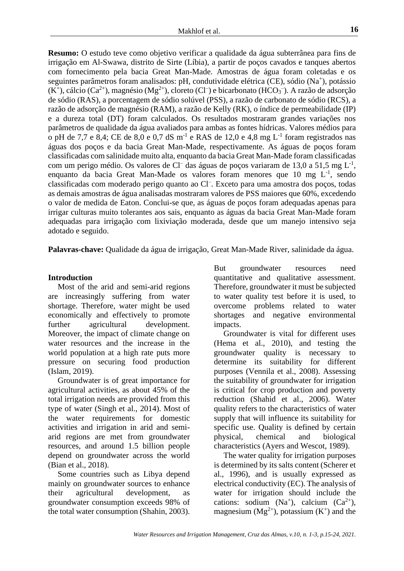**Resumo:** O estudo teve como objetivo verificar a qualidade da água subterrânea para fins de irrigação em Al-Swawa, distrito de Sirte (Líbia), a partir de poços cavados e tanques abertos com fornecimento pela bacia Great Man-Made. Amostras de água foram coletadas e os seguintes parâmetros foram analisados: pH, condutividade elétrica (CE), sódio (Na<sup>+</sup>), potássio  $(K^+)$ , cálcio (Ca<sup>2+</sup>), magnésio (Mg<sup>2+</sup>), cloreto (Cl<sup>-</sup>) e bicarbonato (HCO<sub>3</sub><sup>-</sup>). A razão de adsorção de sódio (RAS), a porcentagem de sódio solúvel (PSS), a razão de carbonato de sódio (RCS), a razão de adsorção de magnésio (RAM), a razão de Kelly (RK), o índice de permeabilidade (IP) e a dureza total (DT) foram calculados. Os resultados mostraram grandes variações nos parâmetros de qualidade da água avaliados para ambas as fontes hídricas. Valores médios para o pH de 7,7 e 8,4; CE de 8,0 e 0,7 dS  $m^{-1}$  e RAS de 12,0 e 4,8 mg L<sup>-1</sup> foram registrados nas águas dos poços e da bacia Great Man-Made, respectivamente. As águas de poços foram classificadas com salinidade muito alta, enquanto da bacia Great Man-Made foram classificadas com um perigo médio. Os valores de Cl<sup>-</sup> das águas de poços variaram de 13,0 a 51,5 mg  $L^{-1}$ , enquanto da bacia Great Man-Made os valores foram menores que 10 mg  $L^{-1}$ , sendo classificadas com moderado perigo quanto ao Cl– . Exceto para uma amostra dos poços, todas as demais amostras de água analisadas mostraram valores de PSS maiores que 60%, excedendo o valor de medida de Eaton. Conclui-se que, as águas de poços foram adequadas apenas para irrigar culturas muito tolerantes aos sais, enquanto as águas da bacia Great Man-Made foram adequadas para irrigação com lixiviação moderada, desde que um manejo intensivo seja adotado e seguido.

**Palavras-chave:** Qualidade da água de irrigação, Great Man-Made River, salinidade da água.

# **Introduction**

Most of the arid and semi-arid regions are increasingly suffering from water shortage. Therefore, water might be used economically and effectively to promote further agricultural development. Moreover, the impact of climate change on water resources and the increase in the world population at a high rate puts more pressure on securing food production (Islam, 2019).

Groundwater is of great importance for agricultural activities, as about 45% of the total irrigation needs are provided from this type of water (Singh et al., 2014). Most of the water requirements for domestic activities and irrigation in arid and semiarid regions are met from groundwater resources, and around 1.5 billion people depend on groundwater across the world (Bian et al., 2018).

Some countries such as Libya depend mainly on groundwater sources to enhance their agricultural development, as groundwater consumption exceeds 98% of the total water consumption (Shahin, 2003). But groundwater resources need quantitative and qualitative assessment. Therefore, groundwater it must be subjected to water quality test before it is used, to overcome problems related to water shortages and negative environmental impacts.

Groundwater is vital for different uses (Hema et al., 2010), and testing the groundwater quality is necessary to determine its suitability for different purposes (Vennila et al., 2008). Assessing the suitability of groundwater for irrigation is critical for crop production and poverty reduction (Shahid et al., 2006). Water quality refers to the characteristics of water supply that will influence its suitability for specific use. Quality is defined by certain physical, chemical and biological characteristics (Ayers and Wescot, 1989).

The water quality for irrigation purposes is determined by its salts content (Scherer et al., 1996), and is usually expressed as electrical conductivity (EC). The analysis of water for irrigation should include the cations: sodium  $(Na^+)$ , calcium  $(Ca^{2+})$ , magnesium  $(Mg^{2+})$ , potassium  $(K^+)$  and the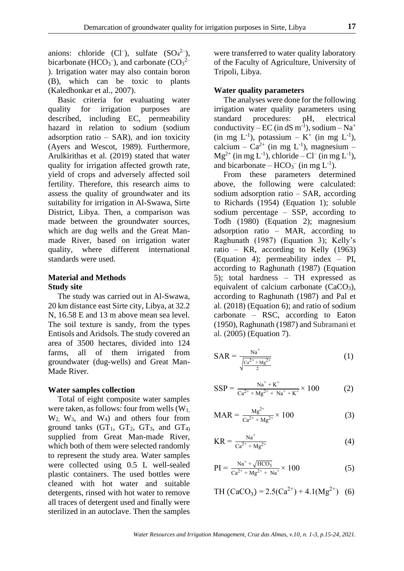anions: chloride  $(Cl^-)$ , sulfate  $(SO_4^2)$ , bicarbonate (HCO<sub>3</sub><sup>-</sup>), and carbonate (CO<sub>3</sub><sup>2–</sup> ). Irrigation water may also contain boron (B), which can be toxic to plants (Kaledhonkar et al., 2007).

Basic criteria for evaluating water quality for irrigation purposes are described, including EC, permeability hazard in relation to sodium (sodium adsorption ratio  $-$  SAR), and ion toxicity (Ayers and Wescot, 1989). Furthermore, Arulkirithas et al. (2019) stated that water quality for irrigation affected growth rate, yield of crops and adversely affected soil fertility. Therefore, this research aims to assess the quality of groundwater and its suitability for irrigation in Al-Swawa, Sirte District, Libya. Then, a comparison was made between the groundwater sources, which are dug wells and the Great Manmade River, based on irrigation water quality, where different international standards were used.

### **Material and Methods Study site**

The study was carried out in Al-Swawa, 20 km distance east Sirte city, Libya, at 32.2 N, 16.58 E and 13 m above mean sea level. The soil texture is sandy, from the types Entisols and Aridsols. The study covered an area of 3500 hectares, divided into 124 farms, all of them irrigated from groundwater (dug-wells) and Great Man-Made River.

#### **Water samples collection**

Total of eight composite water samples were taken, as follows: four from wells  $(W_1)$ , W2, W3, and W4) and others four from ground tanks  $(GT_1, GT_2, GT_3, and GT_4)$ supplied from Great Man-made River, which both of them were selected randomly to represent the study area. Water samples were collected using 0.5 L well-sealed plastic containers. The used bottles were cleaned with hot water and suitable detergents, rinsed with hot water to remove all traces of detergent used and finally were sterilized in an autoclave. Then the samples

were transferred to water quality laboratory of the Faculty of Agriculture, University of Tripoli, Libya.

#### **Water quality parameters**

The analyses were done for the following irrigation water quality parameters using standard procedures: pH, electrical conductivity – EC (in dS m<sup>-1</sup>), sodium – Na<sup>+</sup>  $(in \, mg \, L^{-1}), \, potassium - K^+ \, (in \, mg \, L^{-1}),$ calcium –  $Ca^{2+}$  (in mg L<sup>-1</sup>), magnesium –  $Mg^{2+}$  (in mg L<sup>-1</sup>), chloride – Cl<sup>-</sup> (in mg L<sup>-1</sup>), and bicarbonate –  $HCO_3^-$  (in mg  $L^{-1}$ ).

From these parameters determined above, the following were calculated: sodium adsorption ratio – SAR, according to Richards (1954) (Equation 1); soluble sodium percentage – SSP, according to Todh (1980) (Equation 2); magnesium adsorption ratio – MAR, according to Raghunath (1987) (Equation 3); Kelly's ratio – KR, according to Kelly (1963) (Equation 4); permeability index – PI, according to Raghunath (1987) (Equation 5); total hardness – TH expressed as equivalent of calcium carbonate  $(CaCO<sub>3</sub>)$ , according to Raghunath (1987) and Pal et al. (2018) (Equation 6); and ratio of sodium carbonate – RSC, according to Eaton (1950), Raghunath (1987) and Subramani et al. (2005) (Equation 7).

$$
SAR = \frac{Na^{+}}{\sqrt{\frac{Ca^{2+} + Mg^{2+}}{2}}}
$$
 (1)

$$
SSP = \frac{Na^{+} + K^{+}}{Ca^{2+} + Mg^{2+} + Na^{+} + K^{+}} \times 100
$$
 (2)

$$
MAR = \frac{Mg^{2+}}{Ca^{2+} + Mg^{2+}} \times 100
$$
 (3)

$$
KR = \frac{Na^{+}}{Ca^{2+} + Mg^{2+}}
$$
 (4)

$$
PI = \frac{Na^{+} + \sqrt{HCO_3}}{Ca^{2+} + Mg^{2+} + Na^{+}} \times 100
$$
 (5)

TH 
$$
(CaCO_3) = 2.5(Ca^{2+}) + 4.1(Mg^{2+})
$$
 (6)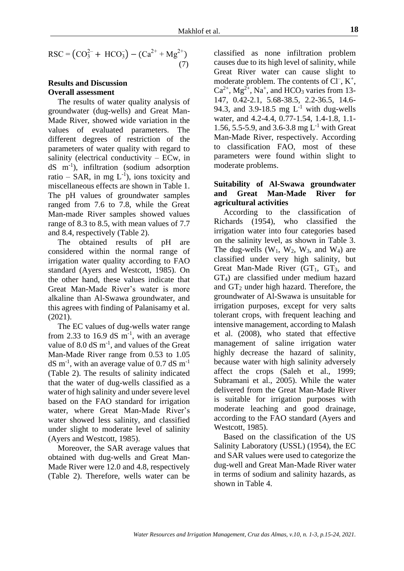$$
RSC = (CO_3^{2-} + HCO_3^-) - (Ca^{2+} + Mg^{2+})
$$
\n(7)

## **Results and Discussion Overall assessment**

The results of water quality analysis of groundwater (dug-wells) and Great Man-Made River, showed wide variation in the values of evaluated parameters. The different degrees of restriction of the parameters of water quality with regard to salinity (electrical conductivity – ECw, in dS m-1 ), infiltration (sodium adsorption ratio – SAR, in mg  $L^{-1}$ ), ions toxicity and miscellaneous effects are shown in Table 1. The pH values of groundwater samples ranged from 7.6 to 7.8, while the Great Man-made River samples showed values range of 8.3 to 8.5, with mean values of 7.7 and 8.4, respectively (Table 2).

The obtained results of pH are considered within the normal range of irrigation water quality according to FAO standard (Ayers and Westcott, 1985). On the other hand, these values indicate that Great Man-Made River's water is more alkaline than Al-Swawa groundwater, and this agrees with finding of Palanisamy et al. (2021).

The EC values of dug-wells water range from 2.33 to 16.9 dS  $m^{-1}$ , with an average value of 8.0  $dS$  m<sup>-1</sup>, and values of the Great Man-Made River range from 0.53 to 1.05  $dS$  m<sup>-1</sup>, with an average value of 0.7 dS m<sup>-1</sup> (Table 2). The results of salinity indicated that the water of dug-wells classified as a water of high salinity and under severe level based on the FAO standard for irrigation water, where Great Man-Made River's water showed less salinity, and classified under slight to moderate level of salinity (Ayers and Westcott, 1985).

Moreover, the SAR average values that obtained with dug-wells and Great Man-Made River were 12.0 and 4.8, respectively (Table 2). Therefore, wells water can be

classified as none infiltration problem causes due to its high level of salinity, while Great River water can cause slight to moderate problem. The contents of  $Cl^-, K^+,$  $Ca^{2+}$ , Mg<sup>2+</sup>, Na<sup>+</sup>, and HCO<sub>3</sub> varies from 13-147, 0.42-2.1, 5.68-38.5, 2.2-36.5, 14.6- 94.3, and 3.9-18.5 mg  $L^{-1}$  with dug-wells water, and 4.2-4.4, 0.77-1.54, 1.4-1.8, 1.1- 1.56, 5.5-5.9, and 3.6-3.8 mg  $L^{-1}$  with Great Man-Made River, respectively. According to classification FAO, most of these parameters were found within slight to moderate problems.

# **Suitability of Al-Swawa groundwater and Great Man-Made River for agricultural activities**

According to the classification of Richards (1954), who classified the irrigation water into four categories based on the salinity level, as shown in Table 3. The dug-wells  $(W_1, W_2, W_3,$  and  $W_4$ ) are classified under very high salinity, but Great Man-Made River  $(GT_1, GT_3, and)$ GT4) are classified under medium hazard and  $GT_2$  under high hazard. Therefore, the groundwater of Al-Swawa is unsuitable for irrigation purposes, except for very salts tolerant crops, with frequent leaching and intensive management, according to Malash et al. (2008), who stated that effective management of saline irrigation water highly decrease the hazard of salinity, because water with high salinity adversely affect the crops (Saleh et al., 1999; Subramani et al., 2005). While the water delivered from the Great Man-Made River is suitable for irrigation purposes with moderate leaching and good drainage, according to the FAO standard (Ayers and Westcott, 1985).

Based on the classification of the US Salinity Laboratory (USSL) (1954), the EC and SAR values were used to categorize the dug-well and Great Man-Made River water in terms of sodium and salinity hazards, as shown in Table 4.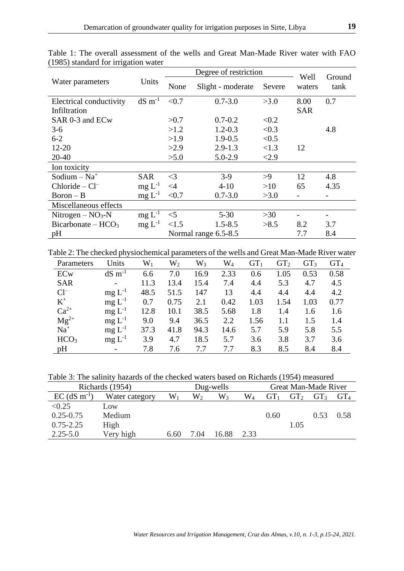|                            |                |          | Degree of restriction | Well   | Ground     |      |
|----------------------------|----------------|----------|-----------------------|--------|------------|------|
| Water parameters           | Units          | None     | Slight - moderate     | Severe | waters     | tank |
| Electrical conductivity    | $dS \, m^{-1}$ | < 0.7    | $0.7 - 3.0$           | >3.0   | 8.00       | 0.7  |
| Infiltration               |                |          |                       |        | <b>SAR</b> |      |
| SAR 0-3 and ECw            |                | >0.7     | $0.7 - 0.2$           | < 0.2  |            |      |
| $3-6$                      |                | >1.2     | $1.2 - 0.3$           | < 0.3  |            | 4.8  |
| $6 - 2$                    |                | >1.9     | $1.9 - 0.5$           | < 0.5  |            |      |
| $12 - 20$                  |                | >2.9     | $2.9 - 1.3$           | <1.3   | 12         |      |
| $20 - 40$                  |                | >5.0     | $5.0 - 2.9$           | < 2.9  |            |      |
| Ion toxicity               |                |          |                       |        |            |      |
| Sodium $-$ Na <sup>+</sup> | <b>SAR</b>     | $\leq$ 3 | $3-9$                 | >9     | 12         | 4.8  |
| $Chloride - Cl^-$          | $mg L^{-1}$    | $\leq$ 4 | $4 - 10$              | >10    | 65         | 4.35 |
| $Boron - B$                | $mg L^{-1}$    | < 0.7    | $0.7 - 3.0$           | >3.0   |            |      |
| Miscellaneous effects      |                |          |                       |        |            |      |
| Nitrogen – $NO3$ -N        | $mg L^{-1}$    | $<$ 5    | $5 - 30$              | >30    |            |      |
| $Bicarbonate - HCO3$       | $mg L^{-1}$    | < 1.5    | $1.5 - 8.5$           | >8.5   | 8.2        | 3.7  |
| pH                         |                |          | Normal range 6.5-8.5  |        | 7.7        | 8.4  |

Table 1: The overall assessment of the wells and Great Man-Made River water with FAO (1985) standard for irrigation water

Table 2: The checked physiochemical parameters of the wells and Great Man-Made River water

| Parameters       | Units                    | $\mathrm{W}_1$ | $\mathrm{W}_2$ | $\mathrm{W}_3$ | $\rm W_4$ | GT <sub>1</sub> | GT <sub>2</sub> | GT <sub>3</sub> | GT <sub>4</sub> |
|------------------|--------------------------|----------------|----------------|----------------|-----------|-----------------|-----------------|-----------------|-----------------|
| ECw              | $dS \, \text{m}^{-1}$    | 6.6            | 7.0            | 16.9           | 2.33      | 0.6             | 1.05            | 0.53            | 0.58            |
| <b>SAR</b>       | $\overline{\phantom{a}}$ | 11.3           | 13.4           | 15.4           | 7.4       | 4.4             | 5.3             | 4.7             | 4.5             |
| $Cl^-$           | $mg L^{-1}$              | 48.5           | 51.5           | 147            | 13        | 4.4             | 4.4             | 4.4             | 4.2             |
| $K^+$            | $mg L^{-1}$              | 0.7            | 0.75           | 2.1            | 0.42      | 1.03            | 1.54            | 1.03            | 0.77            |
| $Ca^{2+}$        | $mg L^{-1}$              | 12.8           | 10.1           | 38.5           | 5.68      | 1.8             | 1.4             | 1.6             | 1.6             |
| $Mg^{2+}$        | $mg L^{-1}$              | 9.0            | 9.4            | 36.5           | 2.2       | 1.56            | $1.1\,$         | 1.5             | 1.4             |
| $Na+$            | $mg L^{-1}$              | 37.3           | 41.8           | 94.3           | 14.6      | 5.7             | 5.9             | 5.8             | 5.5             |
| HCO <sub>3</sub> | $mg L^{-1}$              | 3.9            | 4.7            | 18.5           | 5.7       | 3.6             | 3.8             | 3.7             | 3.6             |
| pH               |                          | 7.8            | 7.6            | 7.7            | 7.7       | 8.3             | 8.5             | 8.4             | 8.4             |

Table 3: The salinity hazards of the checked waters based on Richards (1954) measured

| Richards (1954)            | Dug-wells      |                |      |       | Great Man-Made River |      |                 |                 |                 |
|----------------------------|----------------|----------------|------|-------|----------------------|------|-----------------|-----------------|-----------------|
| $EC$ (dS m <sup>-1</sup> ) | Water category | $\mathrm{W}_1$ | W2   | $W_3$ | $\rm W_4$            |      | GT <sub>2</sub> | GT <sub>3</sub> | GT <sub>4</sub> |
| < 0.25                     | Low            |                |      |       |                      |      |                 |                 |                 |
| $0.25 - 0.75$              | Medium         |                |      |       |                      | 0.60 |                 | 0.53            | 0.58            |
| $0.75 - 2.25$              | High           |                |      |       |                      |      | 1.05            |                 |                 |
| $2.25 - 5.0$               | Very high      | 6.60           | 7.04 | 16.88 | 2.33                 |      |                 |                 |                 |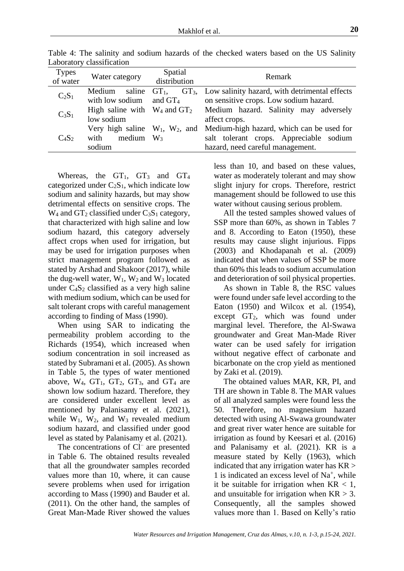| <b>Types</b><br>of water | Water category                                                         | Spatial<br>distribution | Remark                                                                                                                   |  |  |  |  |
|--------------------------|------------------------------------------------------------------------|-------------------------|--------------------------------------------------------------------------------------------------------------------------|--|--|--|--|
| $C_2S_1$                 | saline $GT_1$ ,<br>Medium<br>with low sodium                           | and $GT_4$              | $GT_3$ , Low salinity hazard, with detrimental effects<br>on sensitive crops. Low sodium hazard.                         |  |  |  |  |
| $C_3S_1$                 | low sodium                                                             |                         | High saline with $W_4$ and $GT_2$ Medium hazard. Salinity may adversely<br>affect crops.                                 |  |  |  |  |
| $C_4S_2$                 | Very high saline $W_1$ , $W_2$ , and<br>with<br>medium $W_3$<br>sodium |                         | Medium-high hazard, which can be used for<br>salt tolerant crops. Appreciable sodium<br>hazard, need careful management. |  |  |  |  |

Table 4: The salinity and sodium hazards of the checked waters based on the US Salinity Laboratory classification

Whereas, the  $GT_1$ ,  $GT_3$  and  $GT_4$ categorized under  $C_2S_1$ , which indicate low sodium and salinity hazards, but may show detrimental effects on sensitive crops. The  $W_4$  and  $GT_2$  classified under  $C_3S_1$  category, that characterized with high saline and low sodium hazard, this category adversely affect crops when used for irrigation, but may be used for irrigation purposes when strict management program followed as stated by Arshad and Shakoor (2017), while the dug-well water,  $W_1$ ,  $W_2$  and  $W_3$  located under  $C_4S_2$  classified as a very high saline with medium sodium, which can be used for salt tolerant crops with careful management according to finding of Mass (1990).

When using SAR to indicating the permeability problem according to the Richards (1954), which increased when sodium concentration in soil increased as stated by Subramani et al. (2005). As shown in Table 5, the types of water mentioned above,  $W_4$ ,  $GT_1$ ,  $GT_2$ ,  $GT_3$ , and  $GT_4$  are shown low sodium hazard. Therefore, they are considered under excellent level as mentioned by Palanisamy et al. (2021), while  $W_1$ ,  $W_2$ , and  $W_3$  revealed medium sodium hazard, and classified under good level as stated by Palanisamy et al. (2021).

The concentrations of Cl<sup>-</sup> are presented in Table 6. The obtained results revealed that all the groundwater samples recorded values more than 10, where, it can cause severe problems when used for irrigation according to Mass (1990) and Bauder et al. (2011). On the other hand, the samples of Great Man-Made River showed the values

less than 10, and based on these values, water as moderately tolerant and may show slight injury for crops. Therefore, restrict management should be followed to use this water without causing serious problem.

All the tested samples showed values of SSP more than 60%, as shown in Tables 7 and 8. According to Eaton (1950), these results may cause slight injurious. Fipps (2003) and Khodapanah et al. (2009) indicated that when values of SSP be more than 60% this leads to sodium accumulation and deterioration of soil physical properties.

As shown in Table 8, the RSC values were found under safe level according to the Eaton (1950) and Wilcox et al. (1954), except GT2, which was found under marginal level. Therefore, the Al-Swawa groundwater and Great Man-Made River water can be used safely for irrigation without negative effect of carbonate and bicarbonate on the crop yield as mentioned by Zaki et al. (2019).

The obtained values MAR, KR, PI, and TH are shown in Table 8. The MAR values of all analyzed samples were found less the 50. Therefore, no magnesium hazard detected with using Al-Swawa groundwater and great river water hence are suitable for irrigation as found by Keesari et al. (2016) and Palanisamy et al. (2021). KR is a measure stated by Kelly (1963), which indicated that any irrigation water has  $KR$ 1 is indicated an excess level of Na<sup>+</sup>, while it be suitable for irrigation when  $KR < 1$ , and unsuitable for irrigation when  $KR > 3$ . Consequently, all the samples showed values more than 1. Based on Kelly's ratio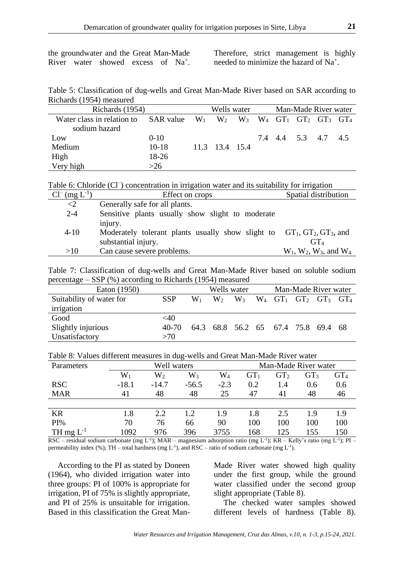the groundwater and the Great Man-Made River water showed excess of Na<sup>+</sup>. Therefore, strict management is highly needed to minimize the hazard of Na<sup>+</sup> .

Table 5: Classification of dug-wells and Great Man-Made River based on SAR according to Richards (1954) measured

| Richards (1954)            |                                                               |  | Wells water    |  | Man-Made River water |  |                     |  |
|----------------------------|---------------------------------------------------------------|--|----------------|--|----------------------|--|---------------------|--|
| Water class in relation to | SAR value $W_1$ $W_2$ $W_3$ $W_4$ $GT_1$ $GT_2$ $GT_3$ $GT_4$ |  |                |  |                      |  |                     |  |
| sodium hazard              |                                                               |  |                |  |                      |  |                     |  |
| Low                        | $0 - 10$                                                      |  |                |  |                      |  | 7.4 4.4 5.3 4.7 4.5 |  |
| Medium                     | $10-18$                                                       |  | 11.3 13.4 15.4 |  |                      |  |                     |  |
| High                       | 18-26                                                         |  |                |  |                      |  |                     |  |
| Very high                  | $>26$                                                         |  |                |  |                      |  |                     |  |

Table 6: Chloride (Cl<sup>-</sup>) concentration in irrigation water and its suitability for irrigation

| $Cl^{-}$ (mg $L^{-1}$ )<br>Effect on crops                                             | Spatial distribution              |
|----------------------------------------------------------------------------------------|-----------------------------------|
| $\langle 2 \rangle$<br>Generally safe for all plants.                                  |                                   |
| $2 - 4$<br>Sensitive plants usually show slight to moderate                            |                                   |
| injury.                                                                                |                                   |
| $4 - 10$<br>Moderately tolerant plants usually show slight to $GT_1, GT_2, GT_3$ , and |                                   |
| substantial injury.                                                                    | GT <sub>4</sub>                   |
| Can cause severe problems.<br>>10                                                      | $W_1$ , $W_2$ , $W_3$ , and $W_4$ |

Table 7: Classification of dug-wells and Great Man-Made River based on soluble sodium percentage – SSP (%) according to Richards (1954) measured

| Eaton (1950)             |            |       | Wells water |                                     |  |  | Man-Made River water                                                  |  |  |  |
|--------------------------|------------|-------|-------------|-------------------------------------|--|--|-----------------------------------------------------------------------|--|--|--|
| Suitability of water for | <b>SSP</b> | $W_1$ | $W_2$       | $W_3$                               |  |  | $W_4$ GT <sub>1</sub> GT <sub>2</sub> GT <sub>3</sub> GT <sub>4</sub> |  |  |  |
| irrigation               |            |       |             |                                     |  |  |                                                                       |  |  |  |
| Good                     | $<$ 40     |       |             |                                     |  |  |                                                                       |  |  |  |
| Slightly injurious       | 40-70      |       |             | 64.3 68.8 56.2 65 67.4 75.8 69.4 68 |  |  |                                                                       |  |  |  |
| Unsatisfactory           | >70        |       |             |                                     |  |  |                                                                       |  |  |  |

Table 8: Values different measures in dug-wells and Great Man-Made River water

| Parameters     | Well waters<br>Man-Made River water |           |         |           |                 |                 |                 |        |
|----------------|-------------------------------------|-----------|---------|-----------|-----------------|-----------------|-----------------|--------|
|                | $W_1$                               | $\rm W_2$ | $W_3$   | $\rm W_4$ | GT <sub>1</sub> | GT <sub>2</sub> | GT <sub>3</sub> | $GT_4$ |
| <b>RSC</b>     | $-18.1$                             | $-14.7$   | $-56.5$ | $-2.3$    | 0.2             | 1.4             | 0.6             | 0.6    |
| <b>MAR</b>     | 41                                  | 48        | 48      | 25        | 47              | 41              | 48              | 46     |
|                |                                     |           |         |           |                 |                 |                 |        |
| <b>KR</b>      | 1.8                                 | 2.2       | 1.2     | 1.9       | 1.8             | 2.5             | 1.9             | 1.9    |
| PI%            | 70                                  | 76        | 66      | 90        | 100             | 100             | 100             | 100    |
| TH mg $L^{-1}$ | 1092                                | 976       | 396     | 3755      | 168             | 125             | 155             | 150    |

RSC – residual sodium carbonate (mg L<sup>-1</sup>); MAR – magnesium adsorption ratio (mg L<sup>-1</sup>); KR – Kelly's ratio (mg L<sup>-1</sup>); PI – permeability index (%); TH – total hardness (mg  $L^{-1}$ ), and RSC – ratio of sodium carbonate (mg  $L^{-1}$ ).

According to the PI as stated by Doneen (1964), who divided irrigation water into three groups: PI of 100% is appropriate for irrigation, PI of 75% is slightly appropriate, and PI of 25% is unsuitable for irrigation. Based in this classification the Great ManMade River water showed high quality under the first group, while the ground water classified under the second group slight appropriate (Table 8).

The checked water samples showed different levels of hardness (Table 8).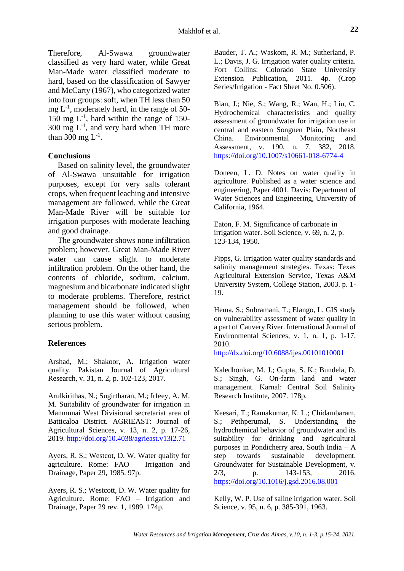Therefore, Al-Swawa groundwater classified as very hard water, while Great Man-Made water classified moderate to hard, based on the classification of Sawyer and McCarty (1967), who categorized water into four groups: soft, when TH less than 50  $mg L^{-1}$ , moderately hard, in the range of 50-150 mg  $L^{-1}$ , hard within the range of 150-300 mg  $L^{-1}$ , and very hard when TH more than 300 mg  $L^{-1}$ .

### **Conclusions**

Based on salinity level, the groundwater of Al-Swawa unsuitable for irrigation purposes, except for very salts tolerant crops, when frequent leaching and intensive management are followed, while the Great Man-Made River will be suitable for irrigation purposes with moderate leaching and good drainage.

The groundwater shows none infiltration problem; however, Great Man-Made River water can cause slight to moderate infiltration problem. On the other hand, the contents of chloride, sodium, calcium, magnesium and bicarbonate indicated slight to moderate problems. Therefore, restrict management should be followed, when planning to use this water without causing serious problem.

### **References**

Arshad, M.; Shakoor, A. Irrigation water quality. Pakistan Journal of Agricultural Research, v. 31, n. 2, p. 102-123, 2017.

Arulkirithas, N.; Sugirtharan, M.; Irfeey, A. M. M. Suitability of groundwater for irrigation in Manmunai West Divisional secretariat area of Batticaloa District. AGRIEAST: Journal of Agricultural Sciences, v. 13, n. 2, p. 17-26, 2019.<http://doi.org/10.4038/agrieast.v13i2.71>

Ayers, R. S.; Westcot, D. W. Water quality for agriculture. Rome: FAO – Irrigation and Drainage, Paper 29, 1985. 97p.

Ayers, R. S.; Westcott, D. W. Water quality for Agriculture. Rome: FAO – Irrigation and Drainage, Paper 29 rev. 1, 1989. 174p.

Bauder, T. A.; Waskom, R. M.; Sutherland, P. L.; Davis, J. G. Irrigation water quality criteria. Fort Collins: Colorado State University Extension Publication, 2011. 4p. (Crop Series/Irrigation - Fact Sheet No. 0.506).

Bian, J.; Nie, S.; Wang, R.; Wan, H.; Liu, C. Hydrochemical characteristics and quality assessment of groundwater for irrigation use in central and eastern Songnen Plain, Northeast China. Environmental Monitoring and Assessment, v. 190, n. 7, 382, 2018. <https://doi.org/10.1007/s10661-018-6774-4>

Doneen, L. D. Notes on water quality in agriculture. Published as a water science and engineering, Paper 4001. Davis: Department of Water Sciences and Engineering, University of California, 1964.

Eaton, F. M. Significance of carbonate in irrigation water. Soil Science, v. 69, n. 2, p. 123-134, 1950.

Fipps, G. Irrigation water quality standards and salinity management strategies. Texas: Texas Agricultural Extension Service, Texas A&M University System, College Station, 2003. p. 1- 19.

Hema, S.; Subramani, T.; Elango, L. GIS study on vulnerability assessment of water quality in a part of Cauvery River. International Journal of Environmental Sciences, v. 1, n. 1, p. 1-17, 2010.

<http://dx.doi.org/10.6088/ijes.00101010001>

Kaledhonkar, M. J.; Gupta, S. K.; Bundela, D. S.; Singh, G. On-farm land and water management. Karnal: Central Soil Salinity Research Institute, 2007. 178p.

Keesari, T.; Ramakumar, K. L.; Chidambaram, S.; Pethperumal, S. Understanding the hydrochemical behavior of groundwater and its suitability for drinking and agricultural purposes in Pondicherry area, South India – A step towards sustainable development. Groundwater for Sustainable Development, v. 2/3, p. 143-153, 2016. <https://doi.org/10.1016/j.gsd.2016.08.001>

Kelly, W. P. Use of saline irrigation water. Soil Science, v. 95, n. 6, p. 385-391, 1963.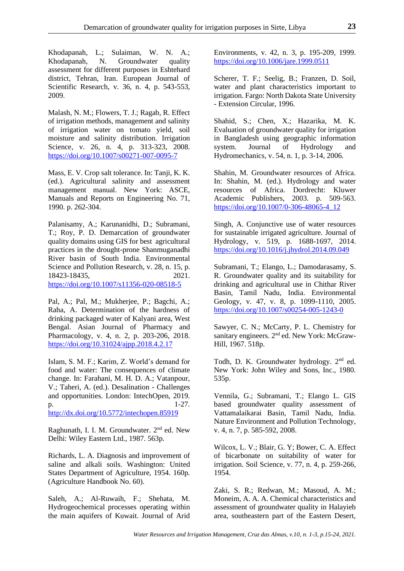Khodapanah, L.; Sulaiman, W. N. A.; Khodapanah, N. Groundwater quality assessment for different purposes in Eshtehard district, Tehran, Iran. European Journal of Scientific Research, v. 36, n. 4, p. 543-553, 2009.

Malash, N. M.; Flowers, T. J.; Ragab, R. Effect of irrigation methods, management and salinity of irrigation water on tomato yield, soil moisture and salinity distribution. Irrigation Science, v. 26, n. 4, p. 313-323, 2008. <https://doi.org/10.1007/s00271-007-0095-7>

Mass, E. V. Crop salt tolerance. In: Tanji, K. K. (ed.). Agricultural salinity and assessment management manual. New York: ASCE, Manuals and Reports on Engineering No. 71, 1990. p. 262-304.

Palanisamy, A.; Karunanidhi, D.; Subramani, T.; Roy, P. D. Demarcation of groundwater quality domains using GIS for best agricultural practices in the drought-prone Shanmuganadhi River basin of South India. Environmental Science and Pollution Research, v. 28, n. 15, p. 18423-18435, 2021. <https://doi.org/10.1007/s11356-020-08518-5>

Pal, A.; Pal, M.; Mukherjee, P.; Bagchi, A.; Raha, A. Determination of the hardness of drinking packaged water of Kalyani area, West Bengal. Asian Journal of Pharmacy and Pharmacology, v. 4, n. 2, p. 203-206, 2018. <https://doi.org/10.31024/ajpp.2018.4.2.17>

Islam, S. M. F.; Karim, Z. World's demand for food and water: The consequences of climate change. In: Farahani, M. H. D. A.; Vatanpour, V.; Taheri, A. (ed.). Desalination - Challenges and opportunities. London: IntechOpen, 2019.  $p.$  1-27.

<http://dx.doi.org/10.5772/intechopen.85919>

Raghunath, I. I. M. Groundwater. 2nd ed. New Delhi: Wiley Eastern Ltd., 1987. 563p.

Richards, L. A. Diagnosis and improvement of saline and alkali soils. Washington: United States Department of Agriculture, 1954. 160p. (Agriculture Handbook No. 60).

Saleh, A.; Al-Ruwaih, F.; Shehata, M. Hydrogeochemical processes operating within the main aquifers of Kuwait. Journal of Arid Environments, v. 42, n. 3, p. 195-209, 1999. <https://doi.org/10.1006/jare.1999.0511>

Scherer, T. F.; Seelig, B.; Franzen, D. Soil, water and plant characteristics important to irrigation. Fargo: North Dakota State University - Extension Circular, 1996.

Shahid, S.; Chen, X.; Hazarika, M. K. Evaluation of groundwater quality for irrigation in Bangladesh using geographic information system. Journal of Hydrology and Hydromechanics, v. 54, n. 1, p. 3-14, 2006.

Shahin, M. Groundwater resources of Africa. In: Shahin, M. (ed.). Hydrology and water resources of Africa. Dordrecht: Kluwer Academic Publishers, 2003. p. 509-563. [https://doi.org/10.1007/0-306-48065-4\\_12](https://doi.org/10.1007/0-306-48065-4_12)

Singh, A. Conjunctive use of water resources for sustainable irrigated agriculture. Journal of Hydrology, v. 519, p. 1688-1697, 2014. <https://doi.org/10.1016/j.jhydrol.2014.09.049>

Subramani, T.; Elango, L.; Damodarasamy, S. R. Groundwater quality and its suitability for drinking and agricultural use in Chithar River Basin, Tamil Nadu, India. Environmental Geology, v. 47, v. 8, p. 1099-1110, 2005. <https://doi.org/10.1007/s00254-005-1243-0>

Sawyer, C. N.; McCarty, P. L. Chemistry for sanitary engineers. 2<sup>nd</sup> ed. New York: McGraw-Hill, 1967. 518p.

Todh, D. K. Groundwater hydrology. 2<sup>nd</sup> ed. New York: John Wiley and Sons, Inc., 1980. 535p.

Vennila, G.; Subramani, T.; Elango L. GIS based groundwater quality assessment of Vattamalaikarai Basin, Tamil Nadu, India. Nature Environment and Pollution Technology, v. 4, n. 7, p. 585-592, 2008.

Wilcox, L. V.; Blair, G. Y; Bower, C. A. Effect of bicarbonate on suitability of water for irrigation. Soil Science, v. 77, n. 4, p. 259-266, 1954.

Zaki, S. R.; Redwan, M.; Masoud, A. M.; Moneim, A. A. A. Chemical characteristics and assessment of groundwater quality in Halayieb area, southeastern part of the Eastern Desert,